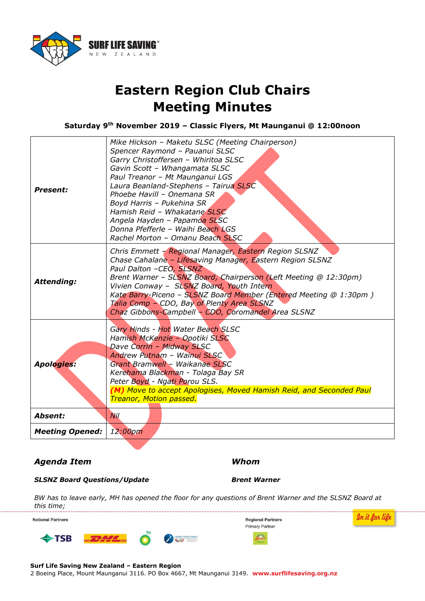

# **Eastern Region Club Chairs Meeting Minutes**

**Saturday 9th November 2019 – Classic Flyers, Mt Maunganui @ 12:00noon**

| <b>Present:</b>        | Mike Hickson - Maketu SLSC (Meeting Chairperson)<br>Spencer Raymond - Pauanui SLSC<br>Garry Christoffersen - Whiritoa SLSC<br>Gavin Scott - Whangamata SLSC<br>Paul Treanor - Mt Maunganui LGS<br>Laura Beanland-Stephens - Tairua SLSC<br>Phoebe Havill - Onemana SR<br>Boyd Harris - Pukehina SR<br>Hamish Reid - Whakatane SLSC<br>Angela Hayden - Papamoa SLSC<br>Donna Pfefferle - Waihi Beach LGS<br>Rachel Morton - Omanu Beach SLSC |  |  |  |  |
|------------------------|---------------------------------------------------------------------------------------------------------------------------------------------------------------------------------------------------------------------------------------------------------------------------------------------------------------------------------------------------------------------------------------------------------------------------------------------|--|--|--|--|
| <b>Attending:</b>      | Chris Emmett - Regional Manager, Eastern Region SLSNZ<br>Chase Cahalane - Lifesaving Manager, Eastern Region SLSNZ<br>Paul Dalton -CEO, SLSNZ<br>Brent Warner - SLSNZ Board, Chairperson (Left Meeting @ 12:30pm)<br>Vivien Conway - SLSNZ Board, Youth Intern<br>Kate Barry-Piceno - SLSNZ Board Member (Entered Meeting @ 1:30pm)<br>Talia Comp - CDO, Bay of Plenty Area SLSNZ<br>Chaz Gibbons-Campbell - CDO, Coromandel Area SLSNZ     |  |  |  |  |
| <b>Apologies:</b>      | Gary Hinds - Hot Water Beach SLSC<br>Hamish McKenzie - Opotiki SLSC<br>Dave Corrin - Midway SLSC<br>Andrew Putnam - Wainui SLSC<br>Grant Bramwell - Waikanae SLSC<br>Kerehama Blackman - Tolaga Bay SR<br>Peter Boyd - Ngati Porou SLS.<br>(M) Move to accept Apologises, Moved Hamish Reid, and Seconded Paul<br>Treanor, Motion passed.                                                                                                   |  |  |  |  |
| <b>Absent:</b>         | <b>Nil</b>                                                                                                                                                                                                                                                                                                                                                                                                                                  |  |  |  |  |
| <b>Meeting Opened:</b> | 12:00pm                                                                                                                                                                                                                                                                                                                                                                                                                                     |  |  |  |  |

# *Agenda Item Whom*

# *SLSNZ Board Questions/Update Brent Warner*

*BW has to leave early, MH has opened the floor for any questions of Brent Warner and the SLSNZ Board at this time;* --------------------------------------



2 Boeing Place, Mount Maunganui 3116. PO Box 4667, Mt Maunganui 3149. **www.surflifesaving.org.nz**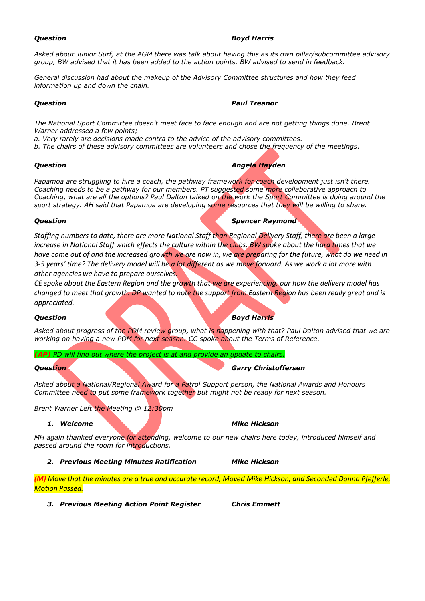### *Question Boyd Harris*

*Asked about Junior Surf, at the AGM there was talk about having this as its own pillar/subcommittee advisory group, BW advised that it has been added to the action points. BW advised to send in feedback.*

*General discussion had about the makeup of the Advisory Committee structures and how they feed information up and down the chain.* 

## *Question Paul Treanor*

*The National Sport Committee doesn't meet face to face enough and are not getting things done. Brent Warner addressed a few points;*

*a. Very rarely are decisions made contra to the advice of the advisory committees.*

*b. The chairs of these advisory committees are volunteers and chose the frequency of the meetings.*

# *Question Angela Hayden*

*Papamoa are struggling to hire a coach, the pathway framework for coach development just isn't there. Coaching needs to be a pathway for our members. PT suggested some more collaborative approach to Coaching, what are all the options? Paul Dalton talked on the work the Sport Committee is doing around the sport strategy. AH said that Papamoa are developing some resources that they will be willing to share.*

*Staffing numbers to date, there are more National Staff than Regional Delivery Staff, there are been a large*  increase in National Staff which effects the culture within the clubs. BW spoke about the hard times that we *have come out of and the increased growth we are now in, we are preparing for the future, what do we need in 3-5 years' time? The delivery model will be a lot different as we move forward. As we work a lot more with other agencies we have to prepare ourselves.* 

*CE spoke about the Eastern Region and the growth that we are experiencing, our how the delivery model has changed to meet that growth. DP wanted to note the support from Eastern Region has been really great and is appreciated.* 

# *Question Boyd Harris*

*Asked about progress of the POM review group, what is happening with that? Paul Dalton advised that we are working on having a new POM for next season. CC spoke about the Terms of Reference.*

*(AP) PD will find out where the project is at and provide an update to chairs.*

*Asked about a National/Regional Award for a Patrol Support person, the National Awards and Honours Committee need to put some framework together but might not be ready for next season.*

*Brent Warner Left the Meeting @ 12:30pm*

## *1. Welcome Mike Hickson*

*MH again thanked everyone for attending, welcome to our new chairs here today, introduced himself and passed around the room for introductions.*

*2. Previous Meeting Minutes Ratification Mike Hickson*

*(M) Move that the minutes are a true and accurate record, Moved Mike Hickson, and Seconded Donna Pfefferle, Motion Passed.*

*3. Previous Meeting Action Point Register Chris Emmett*

*Question Spencer Raymond*

## *Question Garry Christoffersen*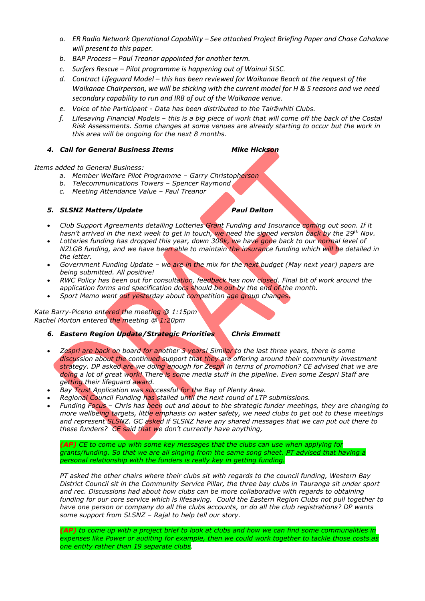- *a. ER Radio Network Operational Capability – See attached Project Briefing Paper and Chase Cahalane will present to this paper.*
- *b. BAP Process – Paul Treanor appointed for another term.*
- *c. Surfers Rescue – Pilot programme is happening out of Wainui SLSC.*
- *d. Contract Lifeguard Model – this has been reviewed for Waikanae Beach at the request of the Waikanae Chairperson, we will be sticking with the current model for H & S reasons and we need secondary capability to run and IRB of out of the Waikanae venue.*
- *e. Voice of the Participant - Data has been distributed to the Tairāwhiti Clubs.*
- *f. Lifesaving Financial Models – this is a big piece of work that will come off the back of the Costal Risk Assessments. Some changes at some venues are already starting to occur but the work in this area will be ongoing for the next 8 months.*

## *4. Call for General Business Items Mike Hickson*

*Items added to General Business:*

- *a. Member Welfare Pilot Programme – Garry Christopherson*
- *b. Telecommunications Towers – Spencer Raymond*
- *c. Meeting Attendance Value – Paul Treanor*

# *5. SLSNZ Matters/Update Paul Dalton*

- *Club Support Agreements detailing Lotteries Grant Funding and Insurance coming out soon. If it hasn't arrived in the next week to get in touch, we need the signed version back by the 29 th Nov.*
- *Lotteries funding has dropped this year, down 300k, we have gone back to our normal level of NZLGB funding, and we have been able to maintain the insurance funding which will be detailed in the letter.*
- *Government Funding Update – we are in the mix for the next budget (May next year) papers are being submitted. All positive!*
- *RWC Policy has been out for consultation, feedback has now closed. Final bit of work around the application forms and specification docs should be out by the end of the month.*
- *Sport Memo went out yesterday about competition age group changes.*

*Kate Barry-Piceno entered the meeting @ 1:15pm Rachel Morton entered the meeting @ 1:20pm*

*6. Eastern Region Update/Strategic Priorities Chris Emmett*

 *Zespri are back on board for another 3 years! Similar to the last three years, there is some discussion about the continued support that they are offering around their community investment strategy. DP asked are we doing enough for Zespri in terms of promotion? CE advised that we are doing a lot of great work! There is some media stuff in the pipeline. Even some Zespri Staff are getting their lifeguard award.* 

- *Bay Trust Application was successful for the Bay of Plenty Area.*
- *Regional Council Funding has stalled until the next round of LTP submissions.*
- *Funding Focus – Chris has been out and about to the strategic funder meetings, they are changing to more wellbeing targets, little emphasis on water safety, we need clubs to get out to these meetings and represent SLSNZ. GC asked if SLSNZ have any shared messages that we can put out there to these funders? CE said that we don't currently have anything,*

*(AP) CE to come up with some key messages that the clubs can use when applying for grants/funding. So that we are all singing from the same song sheet. PT advised that having a personal relationship with the funders is really key in getting funding.*

*PT asked the other chairs where their clubs sit with regards to the council funding, Western Bay District Council sit in the Community Service Pillar, the three bay clubs in Tauranga sit under sport and rec. Discussions had about how clubs can be more collaborative with regards to obtaining funding for our core service which is lifesaving. Could the Eastern Region Clubs not pull together to have one person or company do all the clubs accounts, or do all the club registrations? DP wants some support from SLSNZ – Rajal to help tell our story.*

*(AP) to come up with a project brief to look at clubs and how we can find some communalities in expenses like Power or auditing for example, then we could work together to tackle those costs as one entity rather than 19 separate clubs.*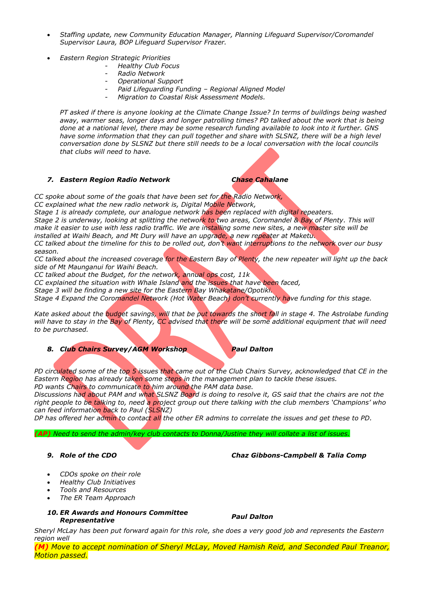- *Staffing update, new Community Education Manager, Planning Lifeguard Supervisor/Coromandel Supervisor Laura, BOP Lifeguard Supervisor Frazer.*
- *Eastern Region Strategic Priorities* 
	- *Healthy Club Focus*
	- *Radio Network*
	- *Operational Support*
	- *Paid Lifeguarding Funding – Regional Aligned Model*
	- *Migration to Coastal Risk Assessment Models.*

*PT asked if there is anyone looking at the Climate Change Issue? In terms of buildings being washed away, warmer seas, longer days and longer patrolling times? PD talked about the work that is being done at a national level, there may be some research funding available to look into it further. GNS*  have some information that they can pull together and share with SLSNZ, there will be a high level *conversation done by SLSNZ but there still needs to be a local conversation with the local councils that clubs will need to have.*

## *7. Eastern Region Radio Network Chase Cahalane*

*CC spoke about some of the goals that have been set for the Radio Network, CC explained what the new radio network is, Digital Mobile Network,* 

*Stage 1 is already complete, our analogue network has been replaced with digital repeaters. Stage 2 is underway, looking at splitting the network to two areas, Coromandel & Bay of Plenty. This will make it easier to use with less radio traffic. We are installing some new sites, a new master site will be installed at Waihi Beach, and Mt Dury will have an upgrade, a new repeater at Maketu.* 

*CC talked about the timeline for this to be rolled out, don't want interruptions to the network over our busy season.*

*CC talked about the increased coverage for the Eastern Bay of Plenty, the new repeater will light up the back side of Mt Maunganui for Waihi Beach.* 

*CC talked about the Budget, for the network, annual ops cost, 11k* 

*CC explained the situation with Whale Island and the issues that have been faced,* 

*Stage 3 will be finding a new site for the Eastern Bay Whakatane/Opotiki.* 

*Stage 4 Expand the Coromandel Network (Hot Water Beach) don't currently have funding for this stage.* 

*Kate asked about the budget savings, will that be put towards the short fall in stage 4. The Astrolabe funding*  will have to stay in the Bay of Plenty, CC advised that there will be some additional equipment that will need *to be purchased.*

*8. Club Chairs Survey/AGM Workshop Paul Dalton*

*PD circulated some of the top 5 issues that came out of the Club Chairs Survey, acknowledged that CE in the Eastern Region has already taken some steps in the management plan to tackle these issues. PD wants Chairs to communicate to him around the PAM data base.* 

*Discussions had about PAM and what SLSNZ Board is doing to resolve it, GS said that the chairs are not the right people to be talking to, need a project group out there talking with the club members 'Champions' who* 

*can feed information back to Paul (SLSNZ)* 

*DP has offered her admin to contact all the other ER admins to correlate the issues and get these to PD.*

*(AP) Need to send the admin/key club contacts to Donna/Justine they will collate a list of issues.*

- *CDOs spoke on their role*
- *Healthy Club Initiatives*
- *Tools and Resources*
- *The ER Team Approach*
- *10. ER Awards and Honours Committee Representative Paul Dalton*

*Sheryl McLay has been put forward again for this role, she does a very good job and represents the Eastern region well*

*(M) Move to accept nomination of Sheryl McLay, Moved Hamish Reid, and Seconded Paul Treanor, Motion passed.*

# *9. Role of the CDO Chaz Gibbons-Campbell & Talia Comp*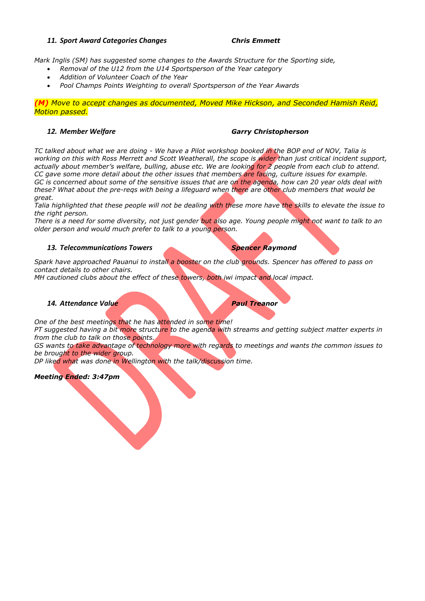# *11. Sport Award Categories Changes Chris Emmett*

*Mark Inglis (SM) has suggested some changes to the Awards Structure for the Sporting side,* 

- *Removal of the U12 from the U14 Sportsperson of the Year category*
- *Addition of Volunteer Coach of the Year*
- *Pool Champs Points Weighting to overall Sportsperson of the Year Awards*

*(M) Move to accept changes as documented, Moved Mike Hickson, and Seconded Hamish Reid, Motion passed.*

## *12. Member Welfare Garry Christopherson*

*TC talked about what we are doing - We have a Pilot workshop booked in the BOP end of NOV, Talia is working on this with Ross Merrett and Scott Weatherall, the scope is wider than just critical incident support, actually about member's welfare, bulling, abuse etc. We are looking for 2 people from each club to attend. CC gave some more detail about the other issues that members are facing, culture issues for example. GC is concerned about some of the sensitive issues that are on the agenda, how can 20 year olds deal with these? What about the pre-reqs with being a lifeguard when there are other club members that would be great.* 

*Talia highlighted that these people will not be dealing with these more have the skills to elevate the issue to the right person.* 

*There is a need for some diversity, not just gender but also age. Young people might not want to talk to an older person and would much prefer to talk to a young person.*

## *13. Telecommunications Towers Spencer Raymond*

*Spark have approached Pauanui to install a booster on the club grounds. Spencer has offered to pass on contact details to other chairs.* 

*MH cautioned clubs about the effect of these towers, both iwi impact and local impact.*

# *14. Attendance Value Paul Treanor*

*One of the best meetings that he has attended in some time!* 

*PT suggested having a bit more structure to the agenda with streams and getting subject matter experts in from the club to talk on those points.* 

*GS wants to take advantage of technology more with regards to meetings and wants the common issues to be brought to the wider group.* 

*DP liked what was done in Wellington with the talk/discussion time.*

# *Meeting Ended: 3:47pm*